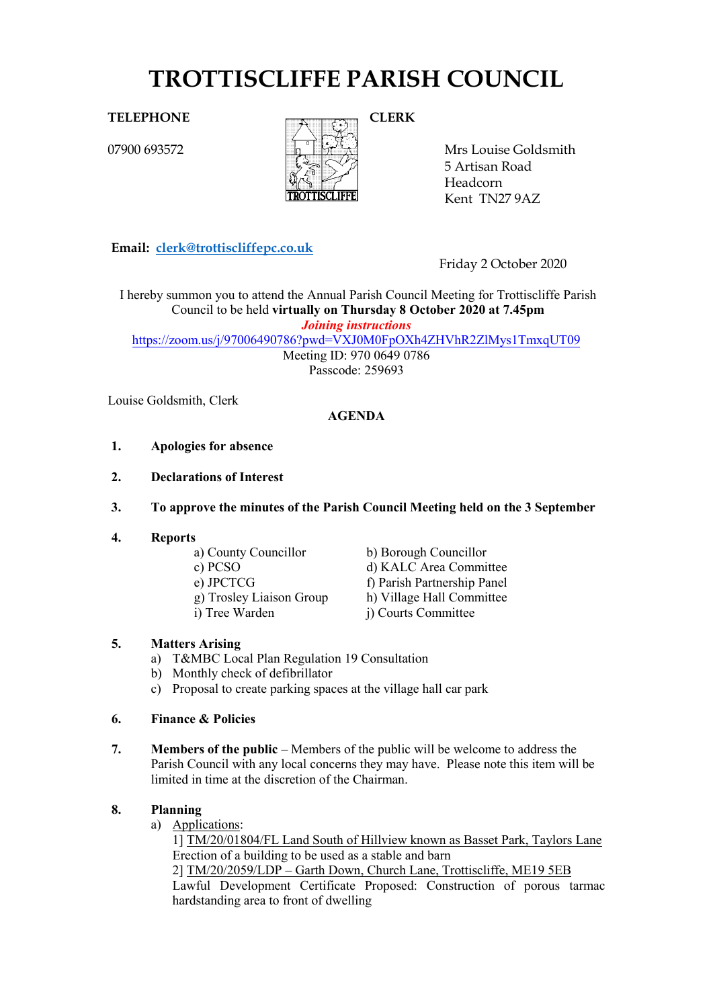# **TROTTISCLIFFE PARISH COUNCIL**

**CLERK**

# **TELEPHONE**

07900 693572



Mrs Louise Goldsmith 5 Artisan Road Headcorn Kent TN279AZ

**Email: [clerk@trottiscliffepc.co.uk](mailto:clerk@trottiscliffepc.co.uk)**

Friday 2 October 2020

 *Joining instructions* I hereby summon you to attend the Annual Parish Council Meeting for Trottiscliffe Parish Council to be held **virtually on Thursday 8 October 2020 at 7.45pm**

<https://zoom.us/j/97006490786?pwd=VXJ0M0FpOXh4ZHVhR2ZlMys1TmxqUT09>

Meeting ID: 970 0649 0786 Passcode: 259693

Louise Goldsmith, Clerk

# **AGENDA**

- **1. Apologies for absence**
- **2. Declarations of Interest**
- **3. To approve the minutes of the Parish Council Meeting held on the 3 September**
- 
- **4. Reports**
	- b) Borough Councillor c) PCSO d) KALC Area Committee<br>e) JPCTCG f) Parish Partnership Panel e) JPCTCG<br>
	g) Trosley Liaison Group<br>
	h) Village Hall Committee g) Trosley Liaison Group h) Village Hall Committee<br>i) Tree Warden i) Courts Committee i) Courts Committee

# **5. Matters Arising**

- a) T&MBC Local Plan Regulation 19 Consultation
- b) Monthly check of defibrillator
- c) Proposal to create parking spaces at the village hall car park

# **6. Finance & Policies**

**7. Members of the public** – Members of the public will be welcome to address the Parish Council with any local concerns they may have. Please note this item will be limited in time at the discretion of the Chairman.

# **8. Planning**

a) Applications:

1] TM/20/01804/FL Land South of Hillview known as Basset Park, Taylors Lane Erection of a building to be used as a stable and barn

2] TM/20/2059/LDP – Garth Down, Church Lane, Trottiscliffe, ME19 5EB Lawful Development Certificate Proposed: Construction of porous tarmac hardstanding area to front of dwelling